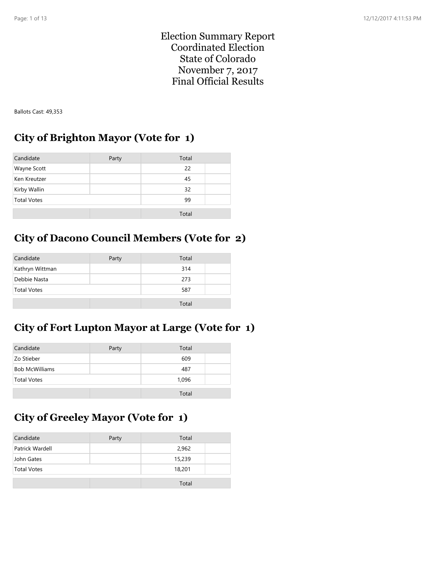Election Summary Report Coordinated Election State of Colorado November 7, 2017 Final Official Results

Ballots Cast: 49,353

#### **City of Brighton Mayor (Vote for 1)**

| Candidate          | Party | Total |  |
|--------------------|-------|-------|--|
| Wayne Scott        |       | 22    |  |
| Ken Kreutzer       |       | 45    |  |
| Kirby Wallin       |       | 32    |  |
| <b>Total Votes</b> |       | 99    |  |
|                    |       | Total |  |

## **City of Dacono Council Members (Vote for 2)**

| Candidate          | Party | Total |  |
|--------------------|-------|-------|--|
| Kathryn Wittman    |       | 314   |  |
| Debbie Nasta       |       | 273   |  |
| <b>Total Votes</b> |       | 587   |  |
|                    |       | Total |  |

## **City of Fort Lupton Mayor at Large (Vote for 1)**

| Candidate             | Party | Total |
|-----------------------|-------|-------|
| Zo Stieber            |       | 609   |
| <b>Bob McWilliams</b> |       | 487   |
| <b>Total Votes</b>    |       | 1,096 |
|                       |       | Total |

# **City of Greeley Mayor (Vote for 1)**

| Candidate          | Party | Total  |  |
|--------------------|-------|--------|--|
| Patrick Wardell    |       | 2,962  |  |
| John Gates         |       | 15,239 |  |
| <b>Total Votes</b> |       | 18,201 |  |
|                    |       | Total  |  |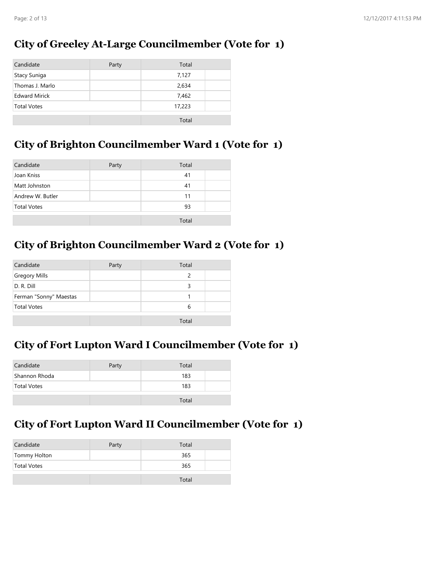# **City of Greeley At-Large Councilmember (Vote for 1)**

| Candidate            | Party | Total  |  |
|----------------------|-------|--------|--|
| Stacy Suniga         |       | 7,127  |  |
| Thomas J. Marlo      |       | 2,634  |  |
| <b>Edward Mirick</b> |       | 7,462  |  |
| <b>Total Votes</b>   |       | 17,223 |  |
|                      |       | Total  |  |

## **City of Brighton Councilmember Ward 1 (Vote for 1)**

| Candidate          | Party | Total |  |
|--------------------|-------|-------|--|
| Joan Kniss         |       | 41    |  |
| Matt Johnston      |       | 41    |  |
| Andrew W. Butler   |       | 11    |  |
| <b>Total Votes</b> |       | 93    |  |
|                    |       | Total |  |

# **City of Brighton Councilmember Ward 2 (Vote for 1)**

| Candidate              | Party | Total         |  |
|------------------------|-------|---------------|--|
| <b>Gregory Mills</b>   |       | $\mathcal{P}$ |  |
| D. R. Dill             |       | 3             |  |
| Ferman "Sonny" Maestas |       |               |  |
| <b>Total Votes</b>     |       | 6             |  |
|                        |       | Total         |  |

#### **City of Fort Lupton Ward I Councilmember (Vote for 1)**

| Candidate     | Party | Total |  |
|---------------|-------|-------|--|
| Shannon Rhoda |       | 183   |  |
| Total Votes   |       | 183   |  |
|               |       | Total |  |

# **City of Fort Lupton Ward II Councilmember (Vote for 1)**

| Total |
|-------|
| 365   |
| 365   |
| Total |
|       |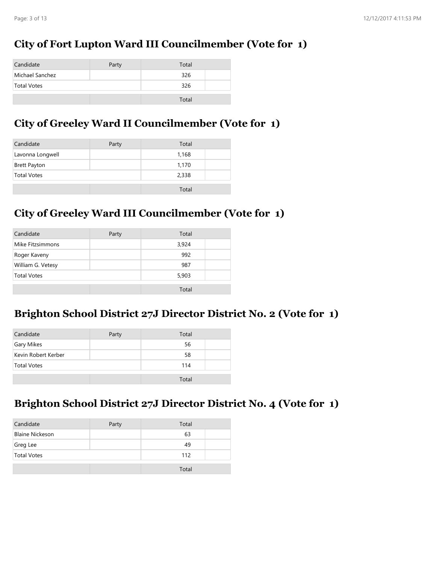## **City of Fort Lupton Ward III Councilmember (Vote for 1)**

| Candidate       | Party | Total |  |
|-----------------|-------|-------|--|
| Michael Sanchez |       | 326   |  |
| Total Votes     |       | 326   |  |
|                 |       | Total |  |

## **City of Greeley Ward II Councilmember (Vote for 1)**

| Candidate           | Party | Total |  |
|---------------------|-------|-------|--|
| Lavonna Longwell    |       | 1,168 |  |
| <b>Brett Payton</b> |       | 1,170 |  |
| <b>Total Votes</b>  |       | 2,338 |  |
|                     |       |       |  |
|                     |       | Total |  |

## **City of Greeley Ward III Councilmember (Vote for 1)**

| Candidate          | Party | Total |  |
|--------------------|-------|-------|--|
| Mike Fitzsimmons   |       | 3,924 |  |
| Roger Kaveny       |       | 992   |  |
| William G. Vetesy  |       | 987   |  |
| <b>Total Votes</b> |       | 5,903 |  |
|                    |       | Total |  |

#### **Brighton School District 27J Director District No. 2 (Vote for 1)**

| Candidate           | Party | Total |  |
|---------------------|-------|-------|--|
| <b>Gary Mikes</b>   |       | 56    |  |
| Kevin Robert Kerber |       | 58    |  |
| <b>Total Votes</b>  |       | 114   |  |
|                     |       | Total |  |

#### **Brighton School District 27J Director District No. 4 (Vote for 1)**

| Candidate              | Party | Total |  |
|------------------------|-------|-------|--|
| <b>Blaine Nickeson</b> |       | 63    |  |
| Greg Lee               |       | 49    |  |
| <b>Total Votes</b>     |       | 112   |  |
|                        |       | Total |  |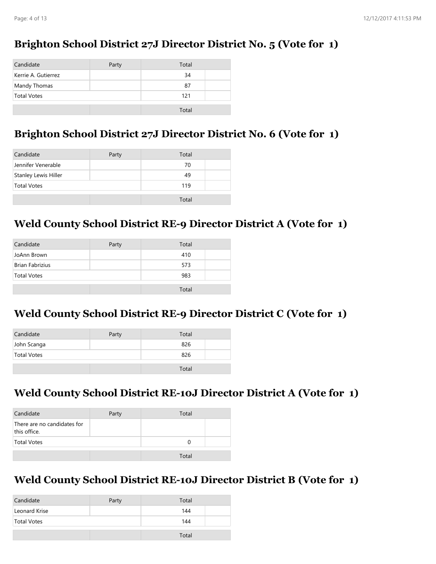## **Brighton School District 27J Director District No. 5 (Vote for 1)**

| Candidate           | Party | Total |  |
|---------------------|-------|-------|--|
| Kerrie A. Gutierrez |       | 34    |  |
| Mandy Thomas        |       | 87    |  |
| <b>Total Votes</b>  |       | 121   |  |
|                     |       | Total |  |

### **Brighton School District 27J Director District No. 6 (Vote for 1)**

| Candidate            | Party | Total |  |
|----------------------|-------|-------|--|
| Jennifer Venerable   |       | 70    |  |
| Stanley Lewis Hiller |       | 49    |  |
| <b>Total Votes</b>   |       | 119   |  |
|                      |       | Total |  |

### **Weld County School District RE-9 Director District A (Vote for 1)**

| Party | Total |       |
|-------|-------|-------|
|       | 410   |       |
|       | 573   |       |
|       | 983   |       |
|       |       |       |
|       |       | Total |

#### **Weld County School District RE-9 Director District C (Vote for 1)**

| Candidate   | Party | Total |  |
|-------------|-------|-------|--|
| John Scanga |       | 826   |  |
| Total Votes |       | 826   |  |
|             |       | Total |  |

## **Weld County School District RE-10J Director District A (Vote for 1)**

| Candidate                                   | Party | Total |  |
|---------------------------------------------|-------|-------|--|
| There are no candidates for<br>this office. |       |       |  |
| Total Votes                                 |       |       |  |
|                                             |       | Total |  |

#### **Weld County School District RE-10J Director District B (Vote for 1)**

| Candidate     | Party | Total |  |
|---------------|-------|-------|--|
| Leonard Krise |       | 144   |  |
| Total Votes   |       | 144   |  |
|               |       | Total |  |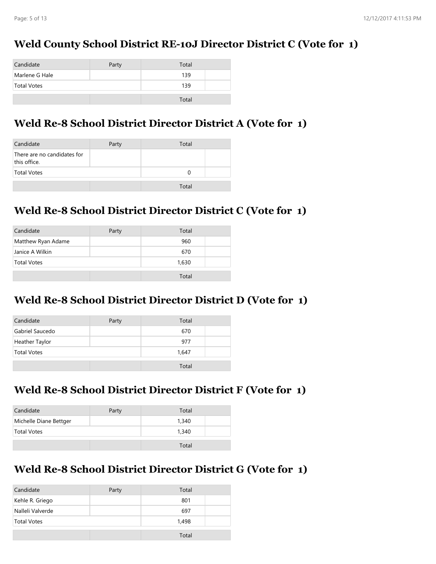## **Weld County School District RE-10J Director District C (Vote for 1)**

| Candidate          | Party | Total |  |
|--------------------|-------|-------|--|
| Marlene G Hale     |       | 139   |  |
| <b>Total Votes</b> |       | 139   |  |
|                    |       |       |  |
|                    |       | Total |  |

### **Weld Re-8 School District Director District A (Vote for 1)**

| Candidate                                   | Party | Total |  |
|---------------------------------------------|-------|-------|--|
| There are no candidates for<br>this office. |       |       |  |
| <b>Total Votes</b>                          |       |       |  |
|                                             |       | Total |  |

## **Weld Re-8 School District Director District C (Vote for 1)**

| Candidate          | Party | Total |  |
|--------------------|-------|-------|--|
| Matthew Ryan Adame |       | 960   |  |
| Janice A Wilkin    |       | 670   |  |
| <b>Total Votes</b> |       | 1,630 |  |
|                    |       | Total |  |

#### **Weld Re-8 School District Director District D (Vote for 1)**

| Candidate          | Party | Total |  |
|--------------------|-------|-------|--|
| Gabriel Saucedo    |       | 670   |  |
| Heather Taylor     |       | 977   |  |
| <b>Total Votes</b> |       | 1,647 |  |
|                    |       | Total |  |

#### **Weld Re-8 School District Director District F (Vote for 1)**

| Candidate              | Party | Total |  |
|------------------------|-------|-------|--|
| Michelle Diane Bettger |       | 1.340 |  |
| <b>Total Votes</b>     |       | 1,340 |  |
|                        |       | Total |  |

## **Weld Re-8 School District Director District G (Vote for 1)**

| Candidate          | Party | Total |
|--------------------|-------|-------|
| Kehle R. Griego    |       | 801   |
| Nalleli Valverde   |       | 697   |
| <b>Total Votes</b> |       | 1.498 |
|                    |       | Total |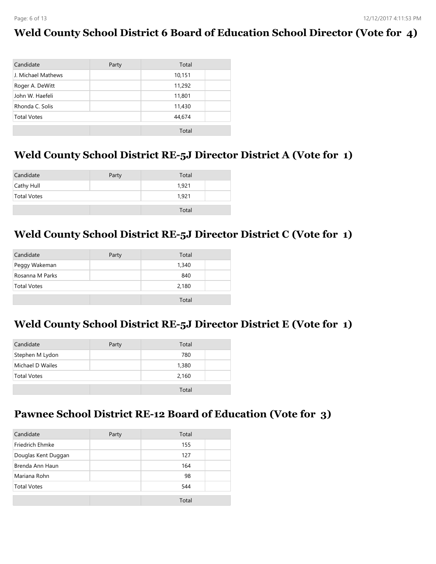### **Weld County School District 6 Board of Education School Director (Vote for 4)**

| Candidate          | Party | Total  |  |
|--------------------|-------|--------|--|
| J. Michael Mathews |       | 10,151 |  |
| Roger A. DeWitt    |       | 11,292 |  |
| John W. Haefeli    |       | 11,801 |  |
| Rhonda C. Solis    |       | 11,430 |  |
| <b>Total Votes</b> |       | 44,674 |  |
|                    |       | Total  |  |

#### **Weld County School District RE-5J Director District A (Vote for 1)**

| Candidate          | Party | Total |  |
|--------------------|-------|-------|--|
| Cathy Hull         |       | 1.921 |  |
| <b>Total Votes</b> |       | 1.921 |  |
|                    |       | Total |  |

### **Weld County School District RE-5J Director District C (Vote for 1)**

| Candidate          | Party | Total |  |
|--------------------|-------|-------|--|
| Peggy Wakeman      |       | 1,340 |  |
| Rosanna M Parks    |       | 840   |  |
| <b>Total Votes</b> |       | 2,180 |  |
|                    |       | Total |  |

#### **Weld County School District RE-5J Director District E (Vote for 1)**

| Candidate          | Party | Total |  |
|--------------------|-------|-------|--|
| Stephen M Lydon    |       | 780   |  |
| Michael D Wailes   |       | 1,380 |  |
| <b>Total Votes</b> |       | 2,160 |  |
|                    |       | Total |  |

#### **Pawnee School District RE-12 Board of Education (Vote for 3)**

| Party | Total |       |
|-------|-------|-------|
|       | 155   |       |
|       | 127   |       |
|       | 164   |       |
|       | 98    |       |
|       | 544   |       |
|       |       |       |
|       |       | Total |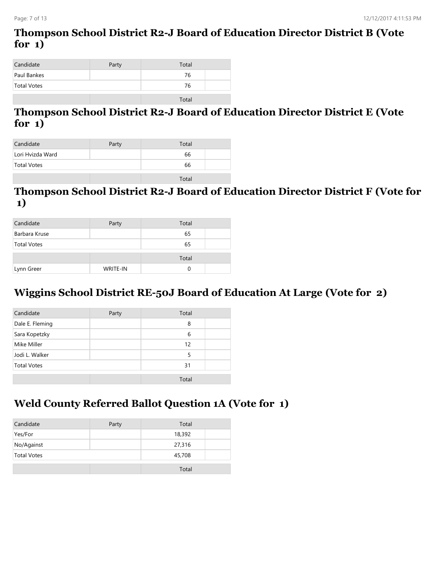# **Thompson School District R2-J Board of Education Director District B (Vote for 1)**

| Candidate          | Party | Total |  |
|--------------------|-------|-------|--|
| Paul Bankes        |       | 76    |  |
| <b>Total Votes</b> |       | 76    |  |
|                    |       |       |  |

## **Thompson School District R2-J Board of Education Director District E (Vote for 1)**

| Candidate        | Party | Total |  |
|------------------|-------|-------|--|
| Lori Hvizda Ward |       | 66    |  |
| Total Votes      |       | 66    |  |
|                  |       | Tota  |  |

#### **Thompson School District R2-J Board of Education Director District F (Vote for 1)**

| Candidate          | Party           | Total |  |
|--------------------|-----------------|-------|--|
| Barbara Kruse      |                 | 65    |  |
| <b>Total Votes</b> |                 | 65    |  |
|                    |                 | Total |  |
| Lynn Greer         | <b>WRITE-IN</b> | O     |  |

## **Wiggins School District RE-50J Board of Education At Large (Vote for 2)**

| Candidate          | Party | Total |  |
|--------------------|-------|-------|--|
| Dale E. Fleming    |       | 8     |  |
| Sara Kopetzky      |       | 6     |  |
| Mike Miller        |       | 12    |  |
| Jodi L. Walker     |       | 5     |  |
| <b>Total Votes</b> |       | 31    |  |
|                    |       | Total |  |

#### **Weld County Referred Ballot Question 1A (Vote for 1)**

| Candidate          | Party | Total  |  |
|--------------------|-------|--------|--|
| Yes/For            |       | 18,392 |  |
| No/Against         |       | 27,316 |  |
| <b>Total Votes</b> |       | 45,708 |  |
|                    |       | Total  |  |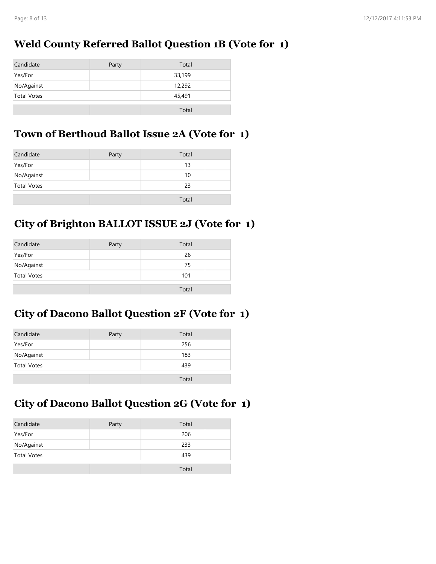## **Weld County Referred Ballot Question 1B (Vote for 1)**

| Candidate          | Party | Total  |
|--------------------|-------|--------|
| Yes/For            |       | 33,199 |
| No/Against         |       | 12,292 |
| <b>Total Votes</b> |       | 45,491 |
|                    |       | Total  |

#### **Town of Berthoud Ballot Issue 2A (Vote for 1)**

| Candidate          | Party | Total |  |
|--------------------|-------|-------|--|
| Yes/For            |       | 13    |  |
| No/Against         |       | 10    |  |
| <b>Total Votes</b> |       | 23    |  |
|                    |       | Total |  |

## **City of Brighton BALLOT ISSUE 2J (Vote for 1)**

| Candidate          | Party | Total |  |
|--------------------|-------|-------|--|
| Yes/For            |       | 26    |  |
| No/Against         |       | 75    |  |
| <b>Total Votes</b> |       | 101   |  |
|                    |       | Total |  |

## **City of Dacono Ballot Question 2F (Vote for 1)**

| Candidate          | Party | Total |  |
|--------------------|-------|-------|--|
| Yes/For            |       | 256   |  |
| No/Against         |       | 183   |  |
| <b>Total Votes</b> |       | 439   |  |
|                    |       | Total |  |

# **City of Dacono Ballot Question 2G (Vote for 1)**

| Candidate          | Party | Total |  |
|--------------------|-------|-------|--|
| Yes/For            |       | 206   |  |
| No/Against         |       | 233   |  |
| <b>Total Votes</b> |       | 439   |  |
|                    |       | Total |  |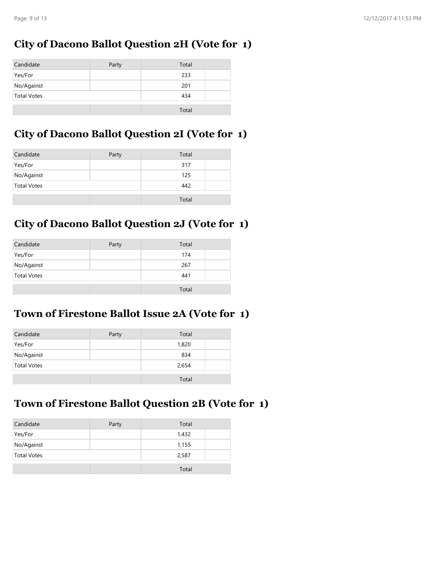### **City of Dacono Ballot Question 2H (Vote for 1)**

| Candidate          | Party | Total |
|--------------------|-------|-------|
| Yes/For            |       | 233   |
| No/Against         |       | 201   |
| <b>Total Votes</b> |       | 434   |
|                    |       | Total |

### **City of Dacono Ballot Question 2I (Vote for 1)**

| Candidate          | Party | Total |
|--------------------|-------|-------|
| Yes/For            |       | 317   |
| No/Against         |       | 125   |
| <b>Total Votes</b> |       | 442   |
|                    |       | Total |

## **City of Dacono Ballot Question 2J (Vote for 1)**

| Candidate          | Party | Total |  |
|--------------------|-------|-------|--|
| Yes/For            |       | 174   |  |
| No/Against         |       | 267   |  |
| <b>Total Votes</b> |       | 441   |  |
|                    |       | Total |  |

### **Town of Firestone Ballot Issue 2A (Vote for 1)**

| Candidate          | Party | Total |
|--------------------|-------|-------|
| Yes/For            |       | 1,820 |
| No/Against         |       | 834   |
| <b>Total Votes</b> |       | 2,654 |
|                    |       | Total |

## **Town of Firestone Ballot Question 2B (Vote for 1)**

| Candidate          | Party | Total |  |
|--------------------|-------|-------|--|
| Yes/For            |       | 1,432 |  |
| No/Against         |       | 1,155 |  |
| <b>Total Votes</b> |       | 2,587 |  |
|                    |       | Total |  |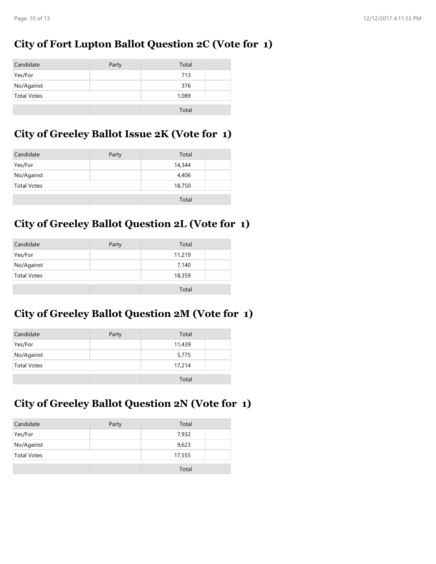## **City of Fort Lupton Ballot Question 2C (Vote for 1)**

| Candidate          | Party | Total |  |
|--------------------|-------|-------|--|
| Yes/For            |       | 713   |  |
| No/Against         |       | 376   |  |
| <b>Total Votes</b> |       | 1,089 |  |
|                    |       | Total |  |

#### **City of Greeley Ballot Issue 2K (Vote for 1)**

| Candidate          | Party | Total  |
|--------------------|-------|--------|
| Yes/For            |       | 14,344 |
| No/Against         |       | 4,406  |
| <b>Total Votes</b> |       | 18,750 |
|                    |       | Total  |

#### **City of Greeley Ballot Question 2L (Vote for 1)**

| Candidate          | Party | Total  |  |
|--------------------|-------|--------|--|
| Yes/For            |       | 11,219 |  |
| No/Against         |       | 7,140  |  |
| <b>Total Votes</b> |       | 18,359 |  |
|                    |       | Total  |  |

### **City of Greeley Ballot Question 2M (Vote for 1)**

| Candidate          | Party | Total  |  |
|--------------------|-------|--------|--|
| Yes/For            |       | 11,439 |  |
| No/Against         |       | 5,775  |  |
| <b>Total Votes</b> |       | 17,214 |  |
|                    |       | Total  |  |

## **City of Greeley Ballot Question 2N (Vote for 1)**

| Candidate          | Party | Total  |  |
|--------------------|-------|--------|--|
| Yes/For            |       | 7,932  |  |
| No/Against         |       | 9,623  |  |
| <b>Total Votes</b> |       | 17,555 |  |
|                    |       | Total  |  |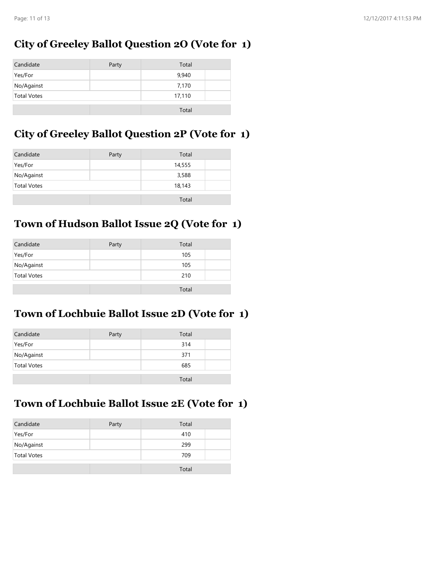### **City of Greeley Ballot Question 2O (Vote for 1)**

| Candidate          | Party | Total  |
|--------------------|-------|--------|
| Yes/For            |       | 9,940  |
| No/Against         |       | 7,170  |
| <b>Total Votes</b> |       | 17,110 |
|                    |       | Total  |

### **City of Greeley Ballot Question 2P (Vote for 1)**

| Candidate          | Party | Total  |
|--------------------|-------|--------|
| Yes/For            |       | 14,555 |
| No/Against         |       | 3,588  |
| <b>Total Votes</b> |       | 18,143 |
|                    |       | Total  |

## **Town of Hudson Ballot Issue 2Q (Vote for 1)**

| Candidate          | Party | Total |  |
|--------------------|-------|-------|--|
| Yes/For            |       | 105   |  |
| No/Against         |       | 105   |  |
| <b>Total Votes</b> |       | 210   |  |
|                    |       | Total |  |

#### **Town of Lochbuie Ballot Issue 2D (Vote for 1)**

| Candidate          | Party | Total |  |
|--------------------|-------|-------|--|
| Yes/For            |       | 314   |  |
| No/Against         |       | 371   |  |
| <b>Total Votes</b> |       | 685   |  |
|                    |       | Total |  |

#### **Town of Lochbuie Ballot Issue 2E (Vote for 1)**

| Candidate          | Party | Total |  |
|--------------------|-------|-------|--|
| Yes/For            |       | 410   |  |
| No/Against         |       | 299   |  |
| <b>Total Votes</b> |       | 709   |  |
|                    |       | Total |  |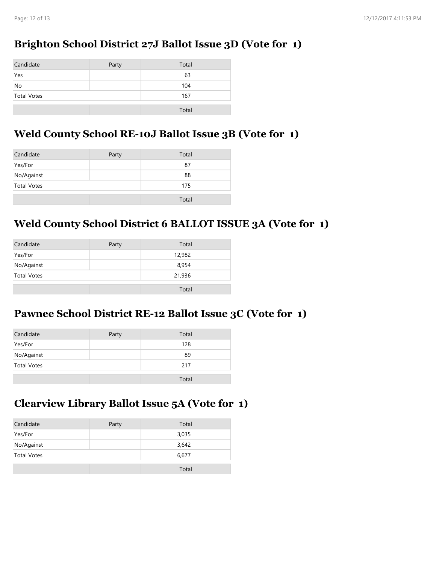## **Brighton School District 27J Ballot Issue 3D (Vote for 1)**

| Candidate          | Party | Total |  |
|--------------------|-------|-------|--|
| Yes                |       | 63    |  |
| No                 |       | 104   |  |
| <b>Total Votes</b> |       | 167   |  |
|                    |       |       |  |
|                    |       | Total |  |

#### **Weld County School RE-10J Ballot Issue 3B (Vote for 1)**

| Candidate          | Party | Total |  |
|--------------------|-------|-------|--|
| Yes/For            |       | 87    |  |
| No/Against         |       | 88    |  |
| <b>Total Votes</b> |       | 175   |  |
|                    |       | Total |  |

### **Weld County School District 6 BALLOT ISSUE 3A (Vote for 1)**

| Candidate          | Party | Total  |
|--------------------|-------|--------|
| Yes/For            |       | 12,982 |
| No/Against         |       | 8,954  |
| <b>Total Votes</b> |       | 21,936 |
|                    |       | Total  |

#### **Pawnee School District RE-12 Ballot Issue 3C (Vote for 1)**

| Candidate          | Party | Total |  |
|--------------------|-------|-------|--|
| Yes/For            |       | 128   |  |
| No/Against         |       | 89    |  |
| <b>Total Votes</b> |       | 217   |  |
|                    |       | Total |  |

#### **Clearview Library Ballot Issue 5A (Vote for 1)**

| Candidate          | Party | Total |  |
|--------------------|-------|-------|--|
| Yes/For            |       | 3,035 |  |
| No/Against         |       | 3,642 |  |
| <b>Total Votes</b> |       | 6,677 |  |
|                    |       | Total |  |